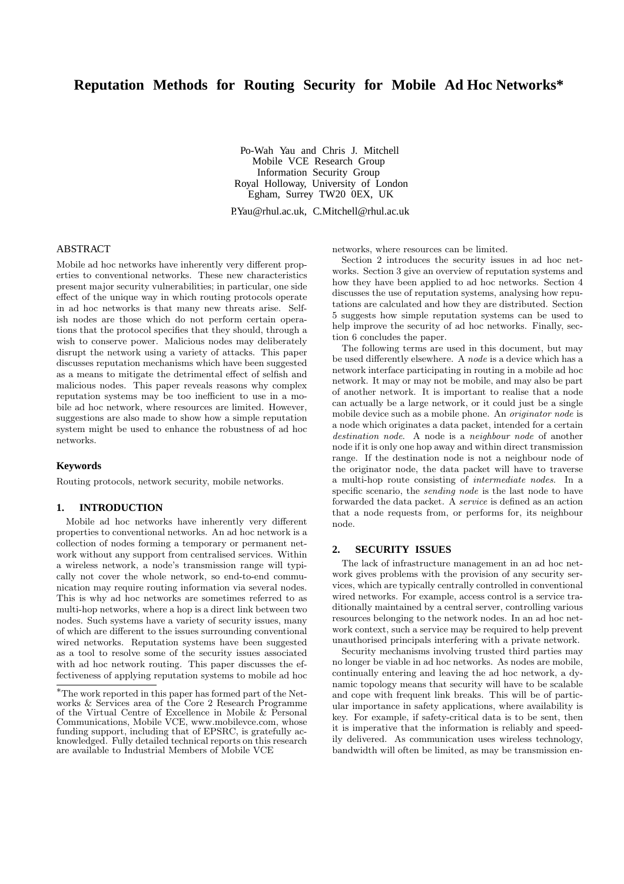# **Reputation Methods for Routing Security for Mobile Ad Hoc Networks\***

Po-Wah Yau and Chris J. Mitchell Mobile VCE Research Group Information Security Group Royal Holloway, University of London Egham, Surrey TW20 0EX, UK

P.Yau@rhul.ac.uk, C.Mitchell@rhul.ac.uk

## ABSTRACT

Mobile ad hoc networks have inherently very different properties to conventional networks. These new characteristics present major security vulnerabilities; in particular, one side effect of the unique way in which routing protocols operate in ad hoc networks is that many new threats arise. Selfish nodes are those which do not perform certain operations that the protocol specifies that they should, through a wish to conserve power. Malicious nodes may deliberately disrupt the network using a variety of attacks. This paper discusses reputation mechanisms which have been suggested as a means to mitigate the detrimental effect of selfish and malicious nodes. This paper reveals reasons why complex reputation systems may be too inefficient to use in a mobile ad hoc network, where resources are limited. However, suggestions are also made to show how a simple reputation system might be used to enhance the robustness of ad hoc networks.

#### **Keywords**

Routing protocols, network security, mobile networks.

#### **1. INTRODUCTION**

Mobile ad hoc networks have inherently very different properties to conventional networks. An ad hoc network is a collection of nodes forming a temporary or permanent network without any support from centralised services. Within a wireless network, a node's transmission range will typically not cover the whole network, so end-to-end communication may require routing information via several nodes. This is why ad hoc networks are sometimes referred to as multi-hop networks, where a hop is a direct link between two nodes. Such systems have a variety of security issues, many of which are different to the issues surrounding conventional wired networks. Reputation systems have been suggested as a tool to resolve some of the security issues associated with ad hoc network routing. This paper discusses the effectiveness of applying reputation systems to mobile ad hoc networks, where resources can be limited.

Section 2 introduces the security issues in ad hoc networks. Section 3 give an overview of reputation systems and how they have been applied to ad hoc networks. Section 4 discusses the use of reputation systems, analysing how reputations are calculated and how they are distributed. Section 5 suggests how simple reputation systems can be used to help improve the security of ad hoc networks. Finally, section 6 concludes the paper.

The following terms are used in this document, but may be used differently elsewhere. A *node* is a device which has a network interface participating in routing in a mobile ad hoc network. It may or may not be mobile, and may also be part of another network. It is important to realise that a node can actually be a large network, or it could just be a single mobile device such as a mobile phone. An *originator node* is a node which originates a data packet, intended for a certain *destination node*. A node is a *neighbour node* of another node if it is only one hop away and within direct transmission range. If the destination node is not a neighbour node of the originator node, the data packet will have to traverse a multi-hop route consisting of *intermediate nodes*. In a specific scenario, the *sending node* is the last node to have forwarded the data packet. A *service* is defined as an action that a node requests from, or performs for, its neighbour node.

#### **2. SECURITY ISSUES**

The lack of infrastructure management in an ad hoc network gives problems with the provision of any security services, which are typically centrally controlled in conventional wired networks. For example, access control is a service traditionally maintained by a central server, controlling various resources belonging to the network nodes. In an ad hoc network context, such a service may be required to help prevent unauthorised principals interfering with a private network.

Security mechanisms involving trusted third parties may no longer be viable in ad hoc networks. As nodes are mobile, continually entering and leaving the ad hoc network, a dynamic topology means that security will have to be scalable and cope with frequent link breaks. This will be of particular importance in safety applications, where availability is key. For example, if safety-critical data is to be sent, then it is imperative that the information is reliably and speedily delivered. As communication uses wireless technology, bandwidth will often be limited, as may be transmission en-

<sup>\*</sup>The work reported in this paper has formed part of the Net-works & Services area of the Core 2 Research Programme of the Virtual Centre of Excellence in Mobile & Personal Communications, Mobile VCE, www.mobilevce.com, whose funding support, including that of EPSRC, is gratefully acknowledged. Fully detailed technical reports on this research are available to Industrial Members of Mobile VCE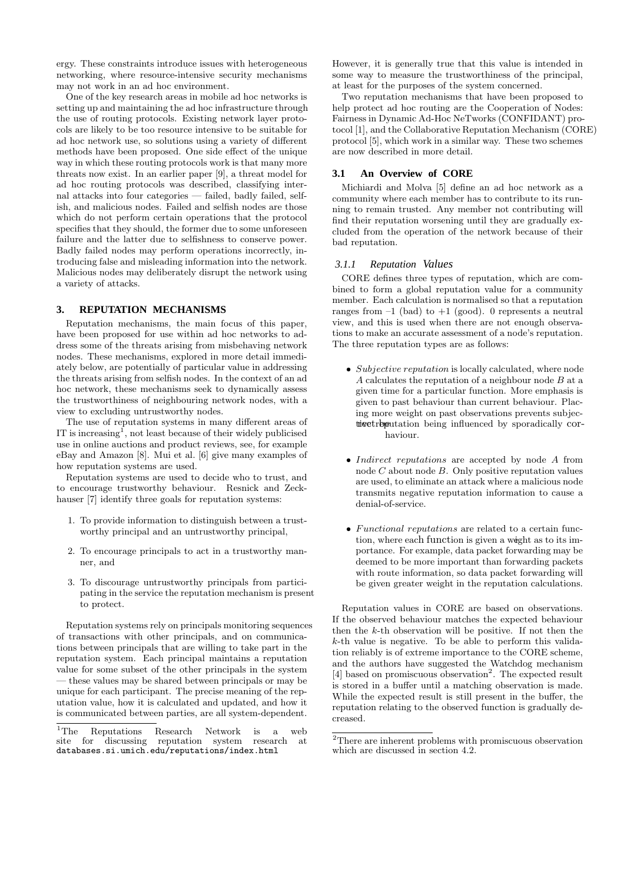ergy. These constraints introduce issues with heterogeneous networking, where resource-intensive security mechanisms may not work in an ad hoc environment.

One of the key research areas in mobile ad hoc networks is setting up and maintaining the ad hoc infrastructure through the use of routing protocols. Existing network layer protocols are likely to be too resource intensive to be suitable for ad hoc network use, so solutions using a variety of different methods have been proposed. One side effect of the unique way in which these routing protocols work is that many more threats now exist. In an earlier paper [9], a threat model for ad hoc routing protocols was described, classifying internal attacks into four categories — failed, badly failed, selfish, and malicious nodes. Failed and selfish nodes are those which do not perform certain operations that the protocol specifies that they should, the former due to some unforeseen failure and the latter due to selfishness to conserve power. Badly failed nodes may perform operations incorrectly, introducing false and misleading information into the network. Malicious nodes may deliberately disrupt the network using a variety of attacks.

#### **3. REPUTATION MECHANISMS**

Reputation mechanisms, the main focus of this paper, have been proposed for use within ad hoc networks to address some of the threats arising from misbehaving network nodes. These mechanisms, explored in more detail immediately below, are potentially of particular value in addressing the threats arising from selfish nodes. In the context of an ad hoc network, these mechanisms seek to dynamically assess the trustworthiness of neighbouring network nodes, with a view to excluding untrustworthy nodes.

The use of reputation systems in many different areas of IT is increasing<sup>1</sup>, not least because of their widely publicised use in online auctions and product reviews, see, for example eBay and Amazon [8]. Mui et al. [6] give many examples of how reputation systems are used.

Reputation systems are used to decide who to trust, and to encourage trustworthy behaviour. Resnick and Zeckhauser [7] identify three goals for reputation systems:

- 1. To provide information to distinguish between a trustworthy principal and an untrustworthy principal,
- 2. To encourage principals to act in a trustworthy manner, and
- 3. To discourage untrustworthy principals from participating in the service the reputation mechanism is present to protect.

Reputation systems rely on principals monitoring sequences of transactions with other principals, and on communications between principals that are willing to take part in the reputation system. Each principal maintains a reputation value for some subset of the other principals in the system — these values may be shared between principals or may be unique for each participant. The precise meaning of the reputation value, how it is calculated and updated, and how it is communicated between parties, are all system-dependent.

However, it is generally true that this value is intended in some way to measure the trustworthiness of the principal, at least for the purposes of the system concerned.

Two reputation mechanisms that have been proposed to help protect ad hoc routing are the Cooperation of Nodes: Fairness in Dynamic Ad-Hoc NeTworks (CONFIDANT) protocol [1], and the Collaborative Reputation Mechanism (CORE) protocol [5], which work in a similar way. These two schemes are now described in more detail.

### **3.1 An Overview of CORE**

Michiardi and Molva [5] define an ad hoc network as a community where each member has to contribute to its running to remain trusted. Any member not contributing will find their reputation worsening until they are gradually excluded from the operation of the network because of their bad reputation.

#### *3.1.1 Reputation Values*

CORE defines three types of reputation, which are combined to form a global reputation value for a community member. Each calculation is normalised so that a reputation ranges from  $-1$  (bad) to  $+1$  (good). 0 represents a neutral view, and this is used when there are not enough observations to make an accurate assessment of a node's reputation. The three reputation types are as follows:

- *Subjective reputation* is locally calculated, where node *A* calculates the reputation of a neighbour node *B* at a given time for a particular function. More emphasis is given to past behaviour than current behaviour. Placing more weight on past observations prevents subjectivectric being influenced by sporadically corhaviour.
- *Indirect reputations* are accepted by node *A* from node *C* about node *B*. Only positive reputation values are used, to eliminate an attack where a malicious node transmits negative reputation information to cause a denial-of-service.
- *Functional reputations* are related to a certain function, where each function is given a weight as to its importance. For example, data packet forwarding may be deemed to be more important than forwarding packets with route information, so data packet forwarding will be given greater weight in the reputation calculations.

Reputation values in CORE are based on observations. If the observed behaviour matches the expected behaviour then the *k*-th observation will be positive. If not then the *k*-th value is negative. To be able to perform this validation reliably is of extreme importance to the CORE scheme, and the authors have suggested the Watchdog mechanism [4] based on promiscuous observation<sup>2</sup>. The expected result is stored in a buffer until a matching observation is made. While the expected result is still present in the buffer, the reputation relating to the observed function is gradually decreased.

<sup>1</sup>The Reputations Research Network is a web site for discussing reputation system research at databases.si.umich.edu/reputations/index.html

 $\rm{^2}$  There are inherent problems with promiscuous observation which are discussed in section 4.2.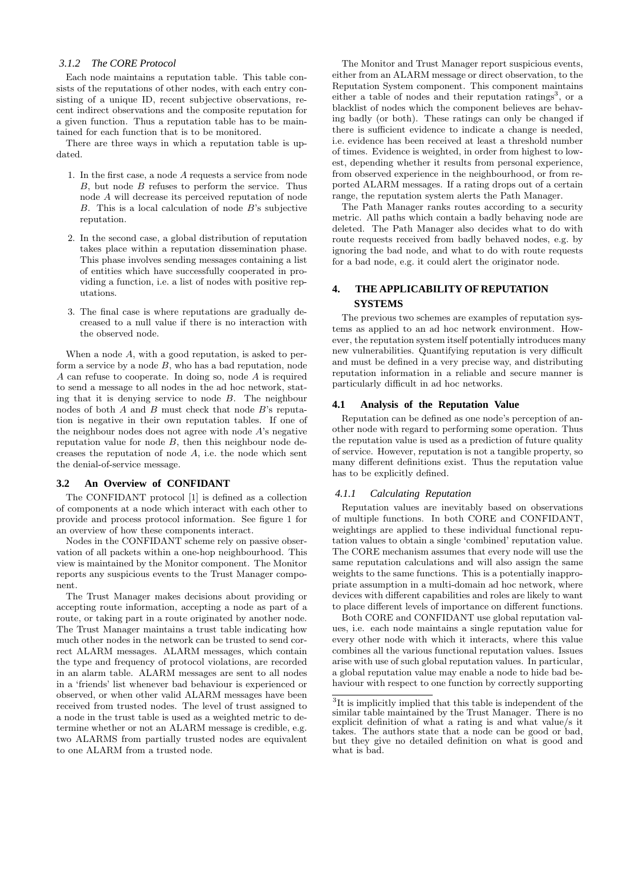#### *3.1.2 The CORE Protocol*

Each node maintains a reputation table. This table consists of the reputations of other nodes, with each entry consisting of a unique ID, recent subjective observations, recent indirect observations and the composite reputation for a given function. Thus a reputation table has to be maintained for each function that is to be monitored.

There are three ways in which a reputation table is updated.

- 1. In the first case, a node *A* requests a service from node *B*, but node *B* refuses to perform the service. Thus node *A* will decrease its perceived reputation of node *B*. This is a local calculation of node *B*'s subjective reputation.
- 2. In the second case, a global distribution of reputation takes place within a reputation dissemination phase. This phase involves sending messages containing a list of entities which have successfully cooperated in providing a function, i.e. a list of nodes with positive reputations.
- 3. The final case is where reputations are gradually decreased to a null value if there is no interaction with the observed node.

When a node *A*, with a good reputation, is asked to perform a service by a node *B*, who has a bad reputation, node *A* can refuse to cooperate. In doing so, node *A* is required to send a message to all nodes in the ad hoc network, stating that it is denying service to node *B*. The neighbour nodes of both *A* and *B* must check that node *B*'s reputation is negative in their own reputation tables. If one of the neighbour nodes does not agree with node *A*'s negative reputation value for node *B*, then this neighbour node decreases the reputation of node *A*, i.e. the node which sent the denial-of-service message.

#### **3.2 An Overview of CONFIDANT**

The CONFIDANT protocol [1] is defined as a collection of components at a node which interact with each other to provide and process protocol information. See figure 1 for an overview of how these components interact.

Nodes in the CONFIDANT scheme rely on passive observation of all packets within a one-hop neighbourhood. This view is maintained by the Monitor component. The Monitor reports any suspicious events to the Trust Manager component.

The Trust Manager makes decisions about providing or accepting route information, accepting a node as part of a route, or taking part in a route originated by another node. The Trust Manager maintains a trust table indicating how much other nodes in the network can be trusted to send correct ALARM messages. ALARM messages, which contain the type and frequency of protocol violations, are recorded in an alarm table. ALARM messages are sent to all nodes in a 'friends' list whenever bad behaviour is experienced or observed, or when other valid ALARM messages have been received from trusted nodes. The level of trust assigned to a node in the trust table is used as a weighted metric to determine whether or not an ALARM message is credible, e.g. two ALARMS from partially trusted nodes are equivalent to one ALARM from a trusted node.

The Monitor and Trust Manager report suspicious events, either from an ALARM message or direct observation, to the Reputation System component. This component maintains either a table of nodes and their reputation ratings<sup>3</sup>, or a blacklist of nodes which the component believes are behaving badly (or both). These ratings can only be changed if there is sufficient evidence to indicate a change is needed, i.e. evidence has been received at least a threshold number of times. Evidence is weighted, in order from highest to lowest, depending whether it results from personal experience, from observed experience in the neighbourhood, or from reported ALARM messages. If a rating drops out of a certain range, the reputation system alerts the Path Manager.

The Path Manager ranks routes according to a security metric. All paths which contain a badly behaving node are deleted. The Path Manager also decides what to do with route requests received from badly behaved nodes, e.g. by ignoring the bad node, and what to do with route requests for a bad node, e.g. it could alert the originator node.

## **4. THE APPLICABILITY OF REPUTATION SYSTEMS**

The previous two schemes are examples of reputation systems as applied to an ad hoc network environment. However, the reputation system itself potentially introduces many new vulnerabilities. Quantifying reputation is very difficult and must be defined in a very precise way, and distributing reputation information in a reliable and secure manner is particularly difficult in ad hoc networks.

#### **4.1 Analysis of the Reputation Value**

Reputation can be defined as one node's perception of another node with regard to performing some operation. Thus the reputation value is used as a prediction of future quality of service. However, reputation is not a tangible property, so many different definitions exist. Thus the reputation value has to be explicitly defined.

#### *4.1.1 Calculating Reputation*

Reputation values are inevitably based on observations of multiple functions. In both CORE and CONFIDANT, weightings are applied to these individual functional reputation values to obtain a single 'combined' reputation value. The CORE mechanism assumes that every node will use the same reputation calculations and will also assign the same weights to the same functions. This is a potentially inappropriate assumption in a multi-domain ad hoc network, where devices with different capabilities and roles are likely to want to place different levels of importance on different functions.

Both CORE and CONFIDANT use global reputation values, i.e. each node maintains a single reputation value for every other node with which it interacts, where this value combines all the various functional reputation values. Issues arise with use of such global reputation values. In particular, a global reputation value may enable a node to hide bad behaviour with respect to one function by correctly supporting

<sup>&</sup>lt;sup>3</sup>It is implicitly implied that this table is independent of the similar table maintained by the Trust Manager. There is no explicit definition of what a rating is and what value/s it takes. The authors state that a node can be good or bad, but they give no detailed definition on what is good and what is bad.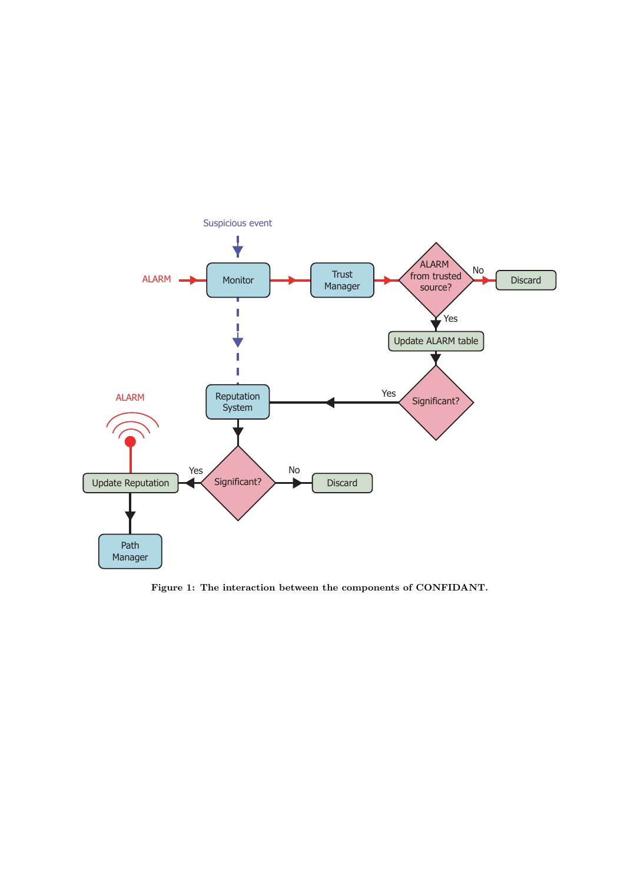

**Figure 1: The interaction between the components of CONFIDANT.**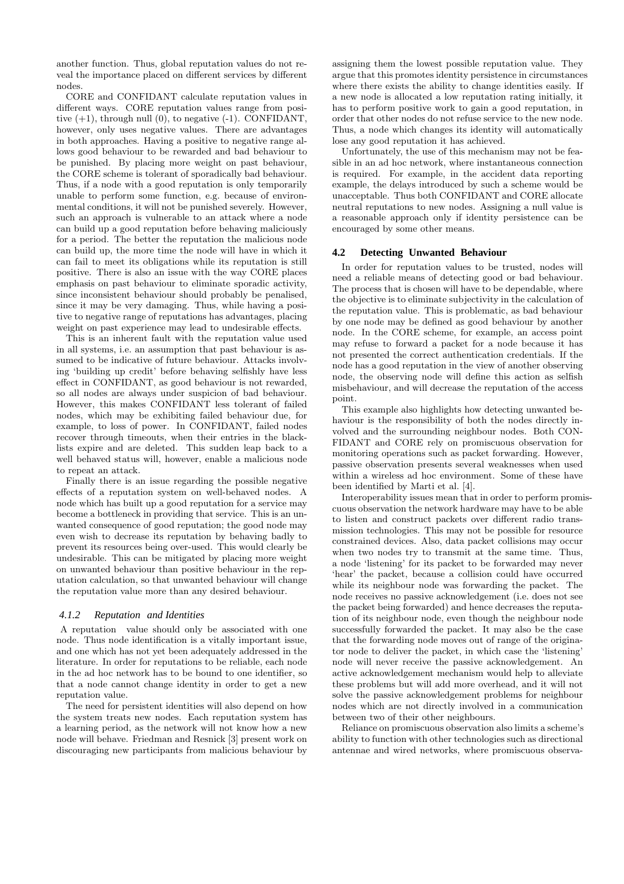another function. Thus, global reputation values do not reveal the importance placed on different services by different nodes.

CORE and CONFIDANT calculate reputation values in different ways. CORE reputation values range from positive  $(+1)$ , through null  $(0)$ , to negative  $(-1)$ . CONFIDANT, however, only uses negative values. There are advantages in both approaches. Having a positive to negative range allows good behaviour to be rewarded and bad behaviour to be punished. By placing more weight on past behaviour, the CORE scheme is tolerant of sporadically bad behaviour. Thus, if a node with a good reputation is only temporarily unable to perform some function, e.g. because of environmental conditions, it will not be punished severely. However, such an approach is vulnerable to an attack where a node can build up a good reputation before behaving maliciously for a period. The better the reputation the malicious node can build up, the more time the node will have in which it can fail to meet its obligations while its reputation is still positive. There is also an issue with the way CORE places emphasis on past behaviour to eliminate sporadic activity, since inconsistent behaviour should probably be penalised, since it may be very damaging. Thus, while having a positive to negative range of reputations has advantages, placing weight on past experience may lead to undesirable effects.

This is an inherent fault with the reputation value used in all systems, i.e. an assumption that past behaviour is assumed to be indicative of future behaviour. Attacks involving 'building up credit' before behaving selfishly have less effect in CONFIDANT, as good behaviour is not rewarded, so all nodes are always under suspicion of bad behaviour. However, this makes CONFIDANT less tolerant of failed nodes, which may be exhibiting failed behaviour due, for example, to loss of power. In CONFIDANT, failed nodes recover through timeouts, when their entries in the blacklists expire and are deleted. This sudden leap back to a well behaved status will, however, enable a malicious node to repeat an attack.

Finally there is an issue regarding the possible negative effects of a reputation system on well-behaved nodes. A node which has built up a good reputation for a service may become a bottleneck in providing that service. This is an unwanted consequence of good reputation; the good node may even wish to decrease its reputation by behaving badly to prevent its resources being over-used. This would clearly be undesirable. This can be mitigated by placing more weight on unwanted behaviour than positive behaviour in the reputation calculation, so that unwanted behaviour will change the reputation value more than any desired behaviour.

## *4.1.2 Reputation and Identities*

A reputation value should only be associated with one node. Thus node identification is a vitally important issue, and one which has not yet been adequately addressed in the literature. In order for reputations to be reliable, each node in the ad hoc network has to be bound to one identifier, so that a node cannot change identity in order to get a new reputation value.

The need for persistent identities will also depend on how the system treats new nodes. Each reputation system has a learning period, as the network will not know how a new node will behave. Friedman and Resnick [3] present work on discouraging new participants from malicious behaviour by

assigning them the lowest possible reputation value. They argue that this promotes identity persistence in circumstances where there exists the ability to change identities easily. If a new node is allocated a low reputation rating initially, it has to perform positive work to gain a good reputation, in order that other nodes do not refuse service to the new node. Thus, a node which changes its identity will automatically lose any good reputation it has achieved.

Unfortunately, the use of this mechanism may not be feasible in an ad hoc network, where instantaneous connection is required. For example, in the accident data reporting example, the delays introduced by such a scheme would be unacceptable. Thus both CONFIDANT and CORE allocate neutral reputations to new nodes. Assigning a null value is a reasonable approach only if identity persistence can be encouraged by some other means.

#### **4.2 Detecting Unwanted Behaviour**

In order for reputation values to be trusted, nodes will need a reliable means of detecting good or bad behaviour. The process that is chosen will have to be dependable, where the objective is to eliminate subjectivity in the calculation of the reputation value. This is problematic, as bad behaviour by one node may be defined as good behaviour by another node. In the CORE scheme, for example, an access point may refuse to forward a packet for a node because it has not presented the correct authentication credentials. If the node has a good reputation in the view of another observing node, the observing node will define this action as selfish misbehaviour, and will decrease the reputation of the access point.

This example also highlights how detecting unwanted behaviour is the responsibility of both the nodes directly involved and the surrounding neighbour nodes. Both CON-FIDANT and CORE rely on promiscuous observation for monitoring operations such as packet forwarding. However, passive observation presents several weaknesses when used within a wireless ad hoc environment. Some of these have been identified by Marti et al. [4].

Interoperability issues mean that in order to perform promiscuous observation the network hardware may have to be able to listen and construct packets over different radio transmission technologies. This may not be possible for resource constrained devices. Also, data packet collisions may occur when two nodes try to transmit at the same time. Thus, a node 'listening' for its packet to be forwarded may never 'hear' the packet, because a collision could have occurred while its neighbour node was forwarding the packet. The node receives no passive acknowledgement (i.e. does not see the packet being forwarded) and hence decreases the reputation of its neighbour node, even though the neighbour node successfully forwarded the packet. It may also be the case that the forwarding node moves out of range of the originator node to deliver the packet, in which case the 'listening' node will never receive the passive acknowledgement. An active acknowledgement mechanism would help to alleviate these problems but will add more overhead, and it will not solve the passive acknowledgement problems for neighbour nodes which are not directly involved in a communication between two of their other neighbours.

Reliance on promiscuous observation also limits a scheme's ability to function with other technologies such as directional antennae and wired networks, where promiscuous observa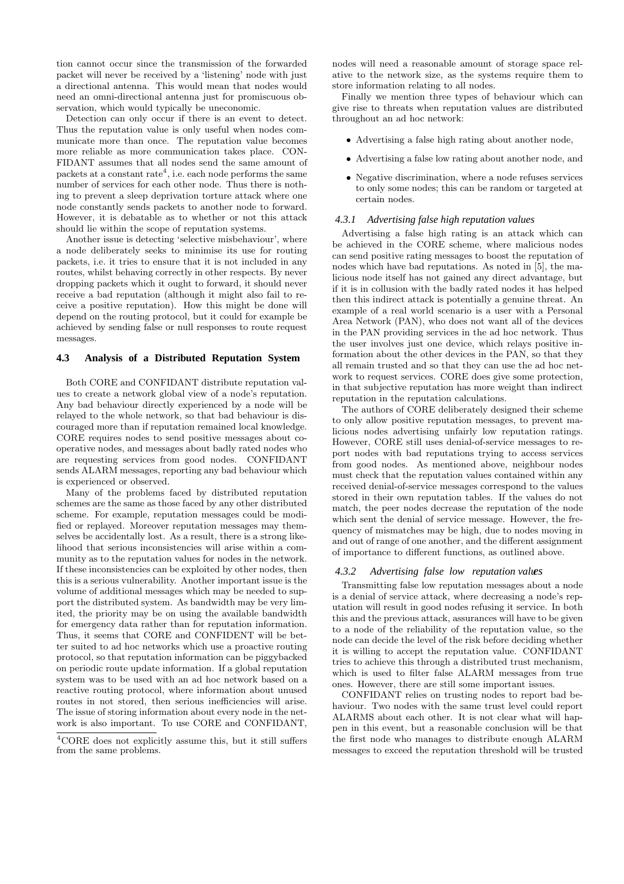tion cannot occur since the transmission of the forwarded packet will never be received by a 'listening' node with just a directional antenna. This would mean that nodes would need an omni-directional antenna just for promiscuous observation, which would typically be uneconomic.

Detection can only occur if there is an event to detect. Thus the reputation value is only useful when nodes communicate more than once. The reputation value becomes more reliable as more communication takes place. CON-FIDANT assumes that all nodes send the same amount of packets at a constant rate<sup>4</sup>, i.e. each node performs the same number of services for each other node. Thus there is nothing to prevent a sleep deprivation torture attack where one node constantly sends packets to another node to forward. However, it is debatable as to whether or not this attack should lie within the scope of reputation systems.

Another issue is detecting 'selective misbehaviour', where a node deliberately seeks to minimise its use for routing packets, i.e. it tries to ensure that it is not included in any routes, whilst behaving correctly in other respects. By never dropping packets which it ought to forward, it should never receive a bad reputation (although it might also fail to receive a positive reputation). How this might be done will depend on the routing protocol, but it could for example be achieved by sending false or null responses to route request messages.

#### **4.3 Analysis of a Distributed Reputation System**

Both CORE and CONFIDANT distribute reputation values to create a network global view of a node's reputation. Any bad behaviour directly experienced by a node will be relayed to the whole network, so that bad behaviour is discouraged more than if reputation remained local knowledge. CORE requires nodes to send positive messages about cooperative nodes, and messages about badly rated nodes who are requesting services from good nodes. CONFIDANT sends ALARM messages, reporting any bad behaviour which is experienced or observed.

Many of the problems faced by distributed reputation schemes are the same as those faced by any other distributed scheme. For example, reputation messages could be modified or replayed. Moreover reputation messages may themselves be accidentally lost. As a result, there is a strong likelihood that serious inconsistencies will arise within a community as to the reputation values for nodes in the network. If these inconsistencies can be exploited by other nodes, then this is a serious vulnerability. Another important issue is the volume of additional messages which may be needed to support the distributed system. As bandwidth may be very limited, the priority may be on using the available bandwidth for emergency data rather than for reputation information. Thus, it seems that CORE and CONFIDENT will be better suited to ad hoc networks which use a proactive routing protocol, so that reputation information can be piggybacked on periodic route update information. If a global reputation system was to be used with an ad hoc network based on a reactive routing protocol, where information about unused routes in not stored, then serious inefficiencies will arise. The issue of storing information about every node in the network is also important. To use CORE and CONFIDANT,

nodes will need a reasonable amount of storage space relative to the network size, as the systems require them to store information relating to all nodes.

Finally we mention three types of behaviour which can give rise to threats when reputation values are distributed throughout an ad hoc network:

- Advertising a false high rating about another node,
- Advertising a false low rating about another node, and
- Negative discrimination, where a node refuses services to only some nodes; this can be random or targeted at certain nodes.

#### *4.3.1 Advertising false high reputation values*

Advertising a false high rating is an attack which can be achieved in the CORE scheme, where malicious nodes can send positive rating messages to boost the reputation of nodes which have bad reputations. As noted in [5], the malicious node itself has not gained any direct advantage, but if it is in collusion with the badly rated nodes it has helped then this indirect attack is potentially a genuine threat. An example of a real world scenario is a user with a Personal Area Network (PAN), who does not want all of the devices in the PAN providing services in the ad hoc network. Thus the user involves just one device, which relays positive information about the other devices in the PAN, so that they all remain trusted and so that they can use the ad hoc network to request services. CORE does give some protection, in that subjective reputation has more weight than indirect reputation in the reputation calculations.

The authors of CORE deliberately designed their scheme to only allow positive reputation messages, to prevent malicious nodes advertising unfairly low reputation ratings. However, CORE still uses denial-of-service messages to report nodes with bad reputations trying to access services from good nodes. As mentioned above, neighbour nodes must check that the reputation values contained within any received denial-of-service messages correspond to the values stored in their own reputation tables. If the values do not match, the peer nodes decrease the reputation of the node which sent the denial of service message. However, the frequency of mismatches may be high, due to nodes moving in and out of range of one another, and the different assignment of importance to different functions, as outlined above.

#### *4.3.2 Advertising false low reputation values*

Transmitting false low reputation messages about a node is a denial of service attack, where decreasing a node's reputation will result in good nodes refusing it service. In both this and the previous attack, assurances will have to be given to a node of the reliability of the reputation value, so the node can decide the level of the risk before deciding whether it is willing to accept the reputation value. CONFIDANT tries to achieve this through a distributed trust mechanism, which is used to filter false ALARM messages from true ones. However, there are still some important issues.

CONFIDANT relies on trusting nodes to report bad behaviour. Two nodes with the same trust level could report ALARMS about each other. It is not clear what will happen in this event, but a reasonable conclusion will be that the first node who manages to distribute enough ALARM messages to exceed the reputation threshold will be trusted

<sup>4</sup>CORE does not explicitly assume this, but it still suffers from the same problems.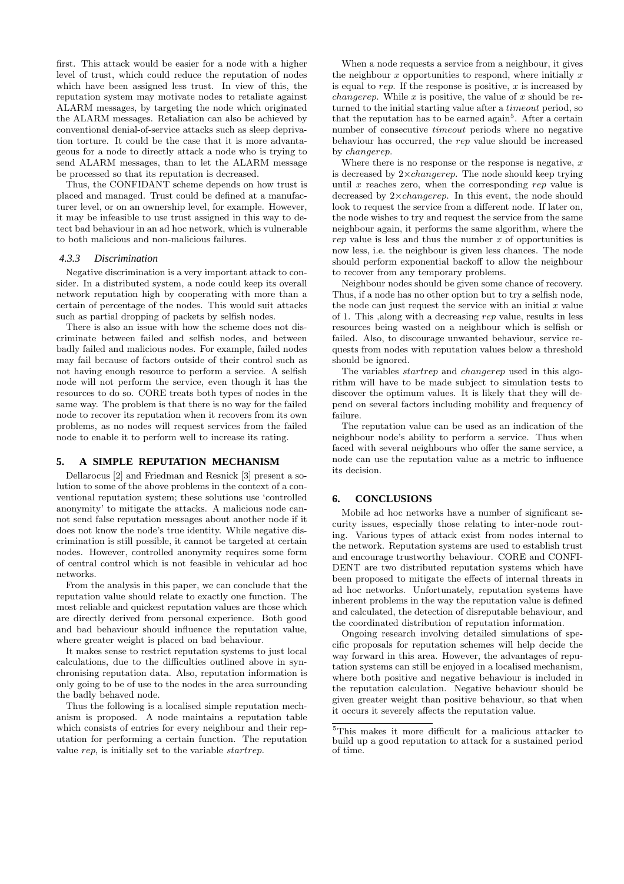first. This attack would be easier for a node with a higher level of trust, which could reduce the reputation of nodes which have been assigned less trust. In view of this, the reputation system may motivate nodes to retaliate against ALARM messages, by targeting the node which originated the ALARM messages. Retaliation can also be achieved by conventional denial-of-service attacks such as sleep deprivation torture. It could be the case that it is more advantageous for a node to directly attack a node who is trying to send ALARM messages, than to let the ALARM message be processed so that its reputation is decreased.

Thus, the CONFIDANT scheme depends on how trust is placed and managed. Trust could be defined at a manufacturer level, or on an ownership level, for example. However, it may be infeasible to use trust assigned in this way to detect bad behaviour in an ad hoc network, which is vulnerable to both malicious and non-malicious failures.

### *4.3.3 Discrimination*

Negative discrimination is a very important attack to consider. In a distributed system, a node could keep its overall network reputation high by cooperating with more than a certain of percentage of the nodes. This would suit attacks such as partial dropping of packets by selfish nodes.

There is also an issue with how the scheme does not discriminate between failed and selfish nodes, and between badly failed and malicious nodes. For example, failed nodes may fail because of factors outside of their control such as not having enough resource to perform a service. A selfish node will not perform the service, even though it has the resources to do so. CORE treats both types of nodes in the same way. The problem is that there is no way for the failed node to recover its reputation when it recovers from its own problems, as no nodes will request services from the failed node to enable it to perform well to increase its rating.

#### **5. A SIMPLE REPUTATION MECHANISM**

Dellarocus [2] and Friedman and Resnick [3] present a solution to some of the above problems in the context of a conventional reputation system; these solutions use 'controlled anonymity' to mitigate the attacks. A malicious node cannot send false reputation messages about another node if it does not know the node's true identity. While negative discrimination is still possible, it cannot be targeted at certain nodes. However, controlled anonymity requires some form of central control which is not feasible in vehicular ad hoc networks.

From the analysis in this paper, we can conclude that the reputation value should relate to exactly one function. The most reliable and quickest reputation values are those which are directly derived from personal experience. Both good and bad behaviour should influence the reputation value, where greater weight is placed on bad behaviour.

It makes sense to restrict reputation systems to just local calculations, due to the difficulties outlined above in synchronising reputation data. Also, reputation information is only going to be of use to the nodes in the area surrounding the badly behaved node.

Thus the following is a localised simple reputation mechanism is proposed. A node maintains a reputation table which consists of entries for every neighbour and their reputation for performing a certain function. The reputation value *rep*, is initially set to the variable *startrep*.

When a node requests a service from a neighbour, it gives the neighbour *x* opportunities to respond, where initially *x* is equal to  $rep$ . If the response is positive,  $x$  is increased by *changerep.* While  $x$  is positive, the value of  $x$  should be returned to the initial starting value after a *timeout* period, so that the reputation has to be earned again<sup>5</sup>. After a certain number of consecutive *timeout* periods where no negative behaviour has occurred, the *rep* value should be increased by *changerep*.

Where there is no response or the response is negative, *x* is decreased by 2×*changerep*. The node should keep trying until *x* reaches zero, when the corresponding *rep* value is decreased by 2×*changerep*. In this event, the node should look to request the service from a different node. If later on, the node wishes to try and request the service from the same neighbour again, it performs the same algorithm, where the *rep* value is less and thus the number *x* of opportunities is now less, i.e. the neighbour is given less chances. The node should perform exponential backoff to allow the neighbour to recover from any temporary problems.

Neighbour nodes should be given some chance of recovery. Thus, if a node has no other option but to try a selfish node, the node can just request the service with an initial *x* value of 1. This ,along with a decreasing *rep* value, results in less resources being wasted on a neighbour which is selfish or failed. Also, to discourage unwanted behaviour, service requests from nodes with reputation values below a threshold should be ignored.

The variables *startrep* and *changerep* used in this algorithm will have to be made subject to simulation tests to discover the optimum values. It is likely that they will depend on several factors including mobility and frequency of failure.

The reputation value can be used as an indication of the neighbour node's ability to perform a service. Thus when faced with several neighbours who offer the same service, a node can use the reputation value as a metric to influence its decision.

## **6. CONCLUSIONS**

Mobile ad hoc networks have a number of significant security issues, especially those relating to inter-node routing. Various types of attack exist from nodes internal to the network. Reputation systems are used to establish trust and encourage trustworthy behaviour. CORE and CONFI-DENT are two distributed reputation systems which have been proposed to mitigate the effects of internal threats in ad hoc networks. Unfortunately, reputation systems have inherent problems in the way the reputation value is defined and calculated, the detection of disreputable behaviour, and the coordinated distribution of reputation information.

Ongoing research involving detailed simulations of specific proposals for reputation schemes will help decide the way forward in this area. However, the advantages of reputation systems can still be enjoyed in a localised mechanism, where both positive and negative behaviour is included in the reputation calculation. Negative behaviour should be given greater weight than positive behaviour, so that when it occurs it severely affects the reputation value.

<sup>5</sup>This makes it more difficult for a malicious attacker to build up a good reputation to attack for a sustained period of time.